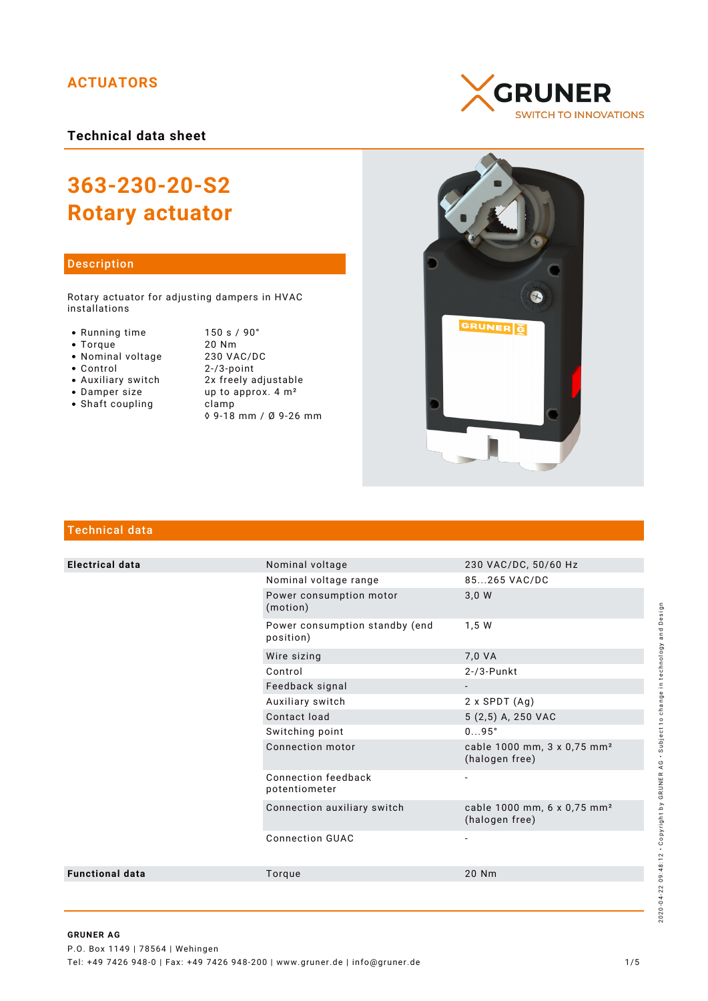# **ACTUATORS**

**Technical data sheet**

# **363-230-20-S2 Rotary actuator**

## Description

Rotary actuator for adjusting dampers in HVAC installations

- 
- 
- 
- Nominal voltage<br>• Control
- 
- 
- $\bullet$  Shaft coupling

● Running time 150 s / 90°<br>● Torque 20 Nm Torque 20 Nm  $2 - / 3$ -point Auxiliary switch 2x freely adjustable • Damper size  $up$  up to approx.  $4 \text{ m}^2$ <br>• Shaft coupling clamp ◊ 9-18 mm / Ø 9-26 mm





# Technical data

| <b>Electrical data</b> | Nominal voltage                             | 230 VAC/DC, 50/60 Hz                                      |
|------------------------|---------------------------------------------|-----------------------------------------------------------|
|                        | Nominal voltage range                       | 85265 VAC/DC                                              |
|                        | Power consumption motor<br>(motion)         | 3,0 W                                                     |
|                        | Power consumption standby (end<br>position) | 1,5W                                                      |
|                        | Wire sizing                                 | 7,0 VA                                                    |
|                        | Control                                     | $2 - 73 - P$ unkt                                         |
|                        | Feedback signal                             |                                                           |
|                        | Auxiliary switch                            | $2 \times$ SPDT $(Aq)$                                    |
|                        | Contact load                                | 5 (2,5) A, 250 VAC                                        |
|                        | Switching point                             | $095^\circ$                                               |
|                        | Connection motor                            | cable 1000 mm, 3 x 0,75 mm <sup>2</sup><br>(halogen free) |
|                        | Connection feedback<br>potentiometer        |                                                           |
|                        | Connection auxiliary switch                 | cable 1000 mm, 6 x 0,75 mm <sup>2</sup><br>(halogen free) |
|                        | <b>Connection GUAC</b>                      |                                                           |
| <b>Functional data</b> | Torque                                      | 20 Nm                                                     |
|                        |                                             |                                                           |

2020-04-22 09:48:12 • Copyright by GRUNER AG • Subject to change in technology and Design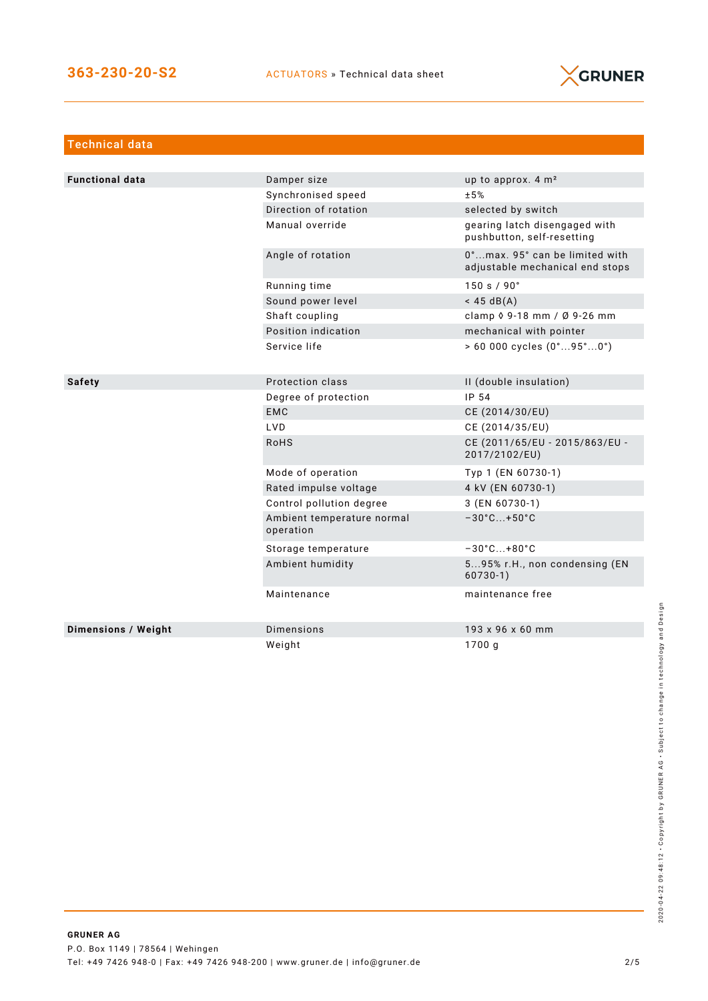

| <b>Technical data</b>      |                                         |                                                                   |
|----------------------------|-----------------------------------------|-------------------------------------------------------------------|
|                            |                                         |                                                                   |
| <b>Functional data</b>     | Damper size                             | up to approx. 4 m <sup>2</sup>                                    |
|                            | Synchronised speed                      | ±5%                                                               |
|                            | Direction of rotation                   | selected by switch                                                |
|                            | Manual override                         | gearing latch disengaged with<br>pushbutton, self-resetting       |
|                            | Angle of rotation                       | 0°max. 95° can be limited with<br>adjustable mechanical end stops |
|                            | Running time                            | 150 s / 90°                                                       |
|                            | Sound power level                       | $<$ 45 dB(A)                                                      |
|                            | Shaft coupling                          | clamp $\sqrt{9} - 18$ mm / $\sqrt{9} - 26$ mm                     |
|                            | Position indication                     | mechanical with pointer                                           |
|                            | Service life                            | $> 60000$ cycles $(0^{\circ}95^{\circ}0^{\circ})$                 |
|                            |                                         |                                                                   |
| <b>Safety</b>              | Protection class                        | II (double insulation)                                            |
|                            | Degree of protection                    | IP 54                                                             |
|                            | <b>EMC</b>                              | CE (2014/30/EU)                                                   |
|                            | <b>LVD</b>                              | CE (2014/35/EU)                                                   |
|                            | <b>RoHS</b>                             | CE (2011/65/EU - 2015/863/EU -<br>2017/2102/EU)                   |
|                            | Mode of operation                       | Typ 1 (EN 60730-1)                                                |
|                            | Rated impulse voltage                   | 4 kV (EN 60730-1)                                                 |
|                            | Control pollution degree                | 3 (EN 60730-1)                                                    |
|                            | Ambient temperature normal<br>operation | $-30^{\circ}$ C +50 $^{\circ}$ C                                  |
|                            | Storage temperature                     | $-30^{\circ}$ C +80 $^{\circ}$ C                                  |
|                            | Ambient humidity                        | 595% r.H., non condensing (EN<br>$60730-1)$                       |
|                            | Maintenance                             | maintenance free                                                  |
| <b>Dimensions / Weight</b> | <b>Dimensions</b>                       | 193 x 96 x 60 mm                                                  |
|                            | Weight                                  | 1700 g                                                            |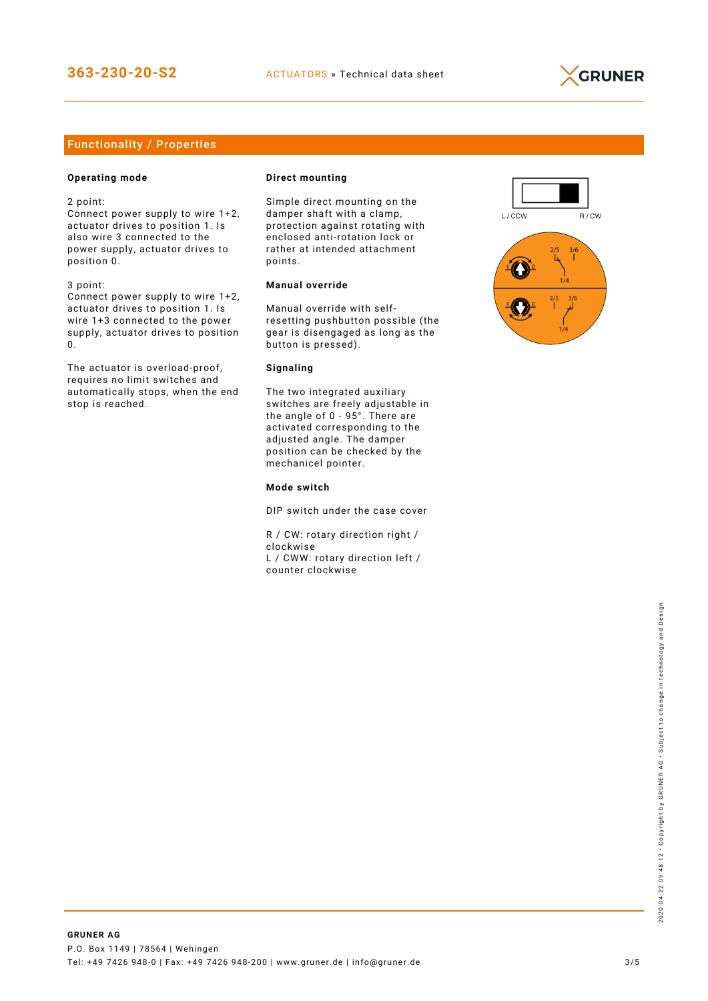

# Functionality / Properties

## **Operating mode**

2 point:

Connect power supply to wire 1+2, actuator drives to position 1. Is also wire 3 connected to the power supply, actuator drives to position 0.

3 point:

Connect power supply to wire 1+2, actuator drives to position 1. Is wire 1+3 connected to the power supply, actuator drives to position 0.

The actuator is overload-proof, requires no limit switches and automatically stops, when the end stop is reached.

#### **Direct mounting**

Simple direct mounting on the damper shaft with a clamp, protection against rotating with enclosed anti-rotation lock or rather at intended attachment points.

## **Manual override**

Manual override with selfresetting pushbutton possible (the gear is disengaged as long as the button is pressed).

#### **Signaling**

The two integrated auxiliary switches are freely adjustable in the angle of 0 - 95°. There are activated corresponding to the adjusted angle. The damper position can be checked by the mechanicel pointer.

#### **Mode switch**

DIP switch under the case cover

R / CW: rotary direction right / clockwise L / CWW: rotary direction left / counter clockwise

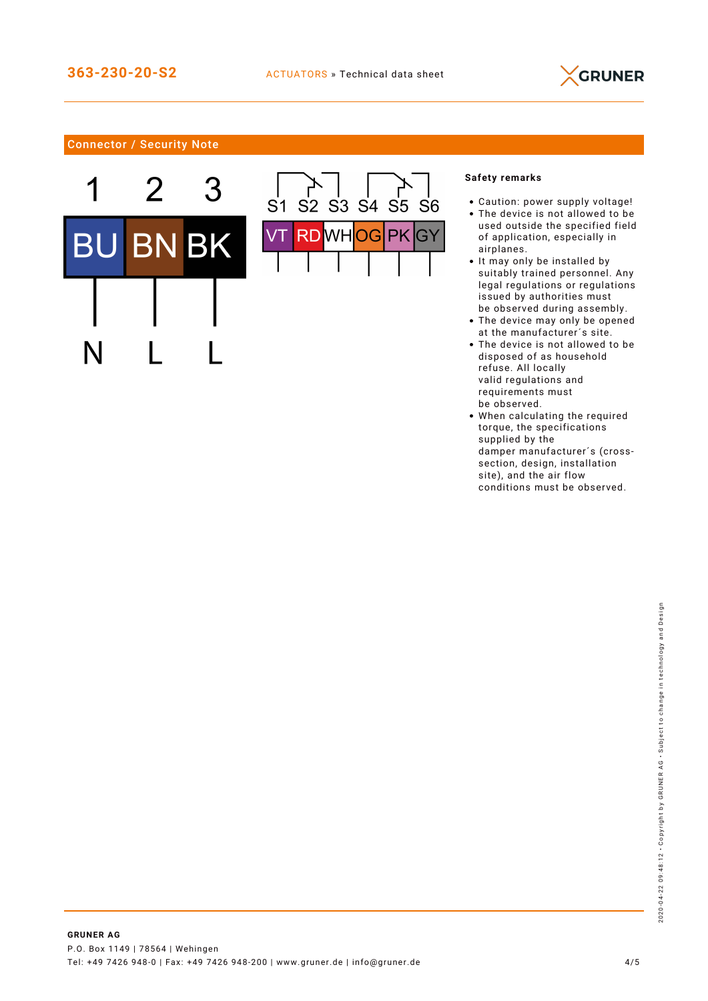

# Connector / Security Note





## **Safety remarks**

- Caution: power supply voltage!
- The device is not allowed to be used outside the specified field of application, especially in airplanes.
- It may only be installed by suitably trained personnel. Any legal regulations or regulations issued by authorities must be observed during assembly.
- The device may only be opened at the manufacturer´s site.
- The device is not allowed to be disposed of as household refuse. All locally valid regulations and requirements must be observed.
- When calculating the required torque, the specifications supplied by the damper manufacturer´s (crosssection, design, installation site), and the air flow conditions must be observed.